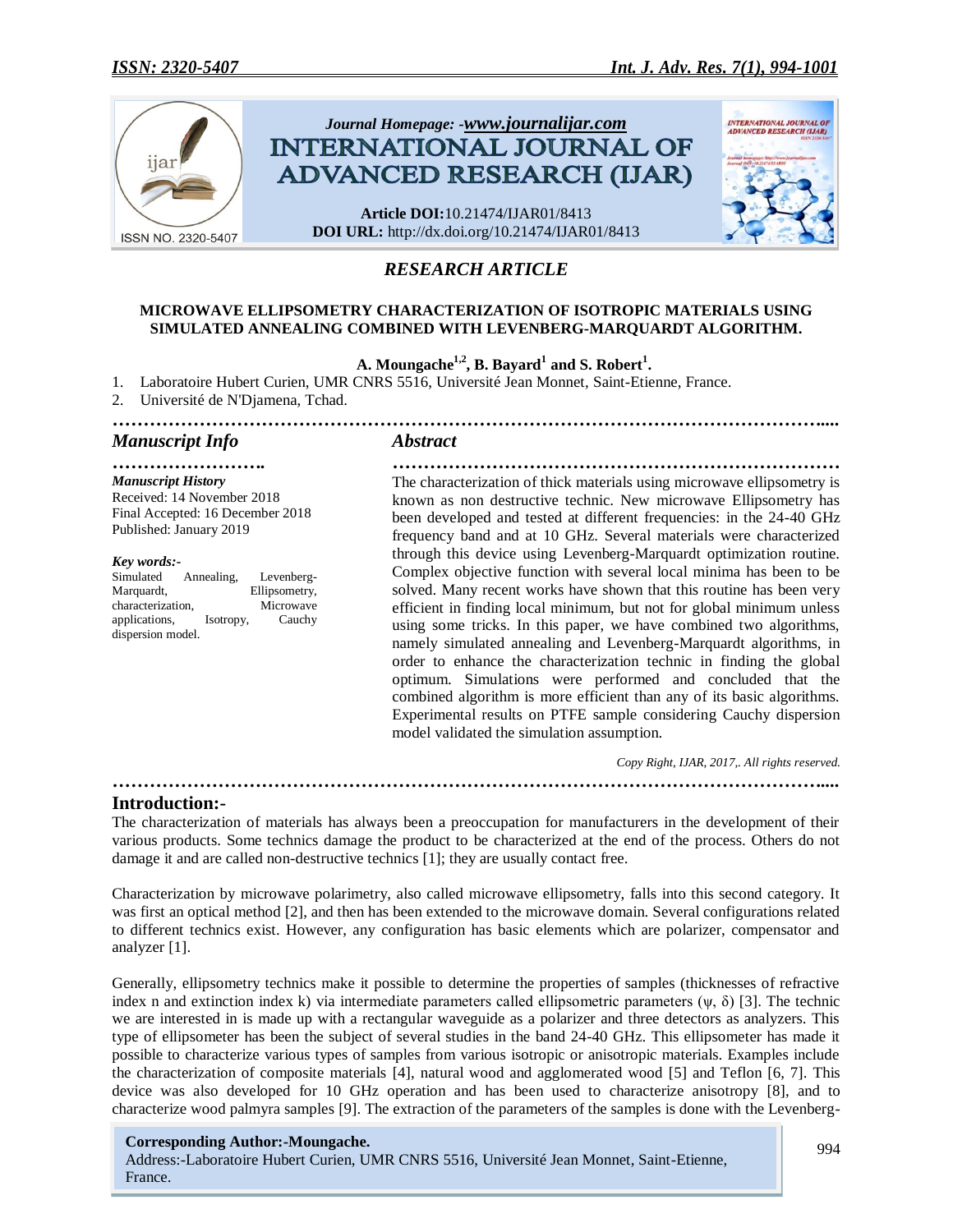

# *RESEARCH ARTICLE*

### **MICROWAVE ELLIPSOMETRY CHARACTERIZATION OF ISOTROPIC MATERIALS USING SIMULATED ANNEALING COMBINED WITH LEVENBERG-MARQUARDT ALGORITHM.**

*……………………………………………………………………………………………………....*

# **A. Moungache1,2, B. Bayard<sup>1</sup> and S. Robert<sup>1</sup> .**

- 1. Laboratoire Hubert Curien, UMR CNRS 5516, Université Jean Monnet, Saint-Etienne, France.
- 2. Université de N'Djamena, Tchad.

# *Manuscript Info Abstract*

*……………………. ……………………………………………………………… Manuscript History* Received: 14 November 2018 Final Accepted: 16 December 2018 Published: January 2019

#### *Key words:-*

Simulated Annealing, Levenberg-Marquardt, Ellipsometry, characterization, Microwave<br>applications, Isotropy, Cauchy applications, Isotropy, Cauchy dispersion model.

The characterization of thick materials using microwave ellipsometry is known as non destructive technic. New microwave Ellipsometry has been developed and tested at different frequencies: in the 24-40 GHz frequency band and at 10 GHz. Several materials were characterized through this device using Levenberg-Marquardt optimization routine. Complex objective function with several local minima has been to be solved. Many recent works have shown that this routine has been very efficient in finding local minimum, but not for global minimum unless using some tricks. In this paper, we have combined two algorithms, namely simulated annealing and Levenberg-Marquardt algorithms, in order to enhance the characterization technic in finding the global optimum. Simulations were performed and concluded that the combined algorithm is more efficient than any of its basic algorithms. Experimental results on PTFE sample considering Cauchy dispersion model validated the simulation assumption.

 *Copy Right, IJAR, 2017,. All rights reserved.*

# **Introduction:-**

The characterization of materials has always been a preoccupation for manufacturers in the development of their various products. Some technics damage the product to be characterized at the end of the process. Others do not damage it and are called non-destructive technics [1]; they are usually contact free.

*……………………………………………………………………………………………………....*

Characterization by microwave polarimetry, also called microwave ellipsometry, falls into this second category. It was first an optical method [2], and then has been extended to the microwave domain. Several configurations related to different technics exist. However, any configuration has basic elements which are polarizer, compensator and analyzer [1].

Generally, ellipsometry technics make it possible to determine the properties of samples (thicknesses of refractive index n and extinction index k) via intermediate parameters called ellipsometric parameters ( $\psi$ ,  $\delta$ ) [3]. The technic we are interested in is made up with a rectangular waveguide as a polarizer and three detectors as analyzers. This type of ellipsometer has been the subject of several studies in the band 24-40 GHz. This ellipsometer has made it possible to characterize various types of samples from various isotropic or anisotropic materials. Examples include the characterization of composite materials [4], natural wood and agglomerated wood [5] and Teflon [6, 7]. This device was also developed for 10 GHz operation and has been used to characterize anisotropy [8], and to characterize wood palmyra samples [9]. The extraction of the parameters of the samples is done with the Levenberg-

#### **Corresponding Author:-Moungache.**

Address:-Laboratoire Hubert Curien, UMR CNRS 5516, Université Jean Monnet, Saint-Etienne, France.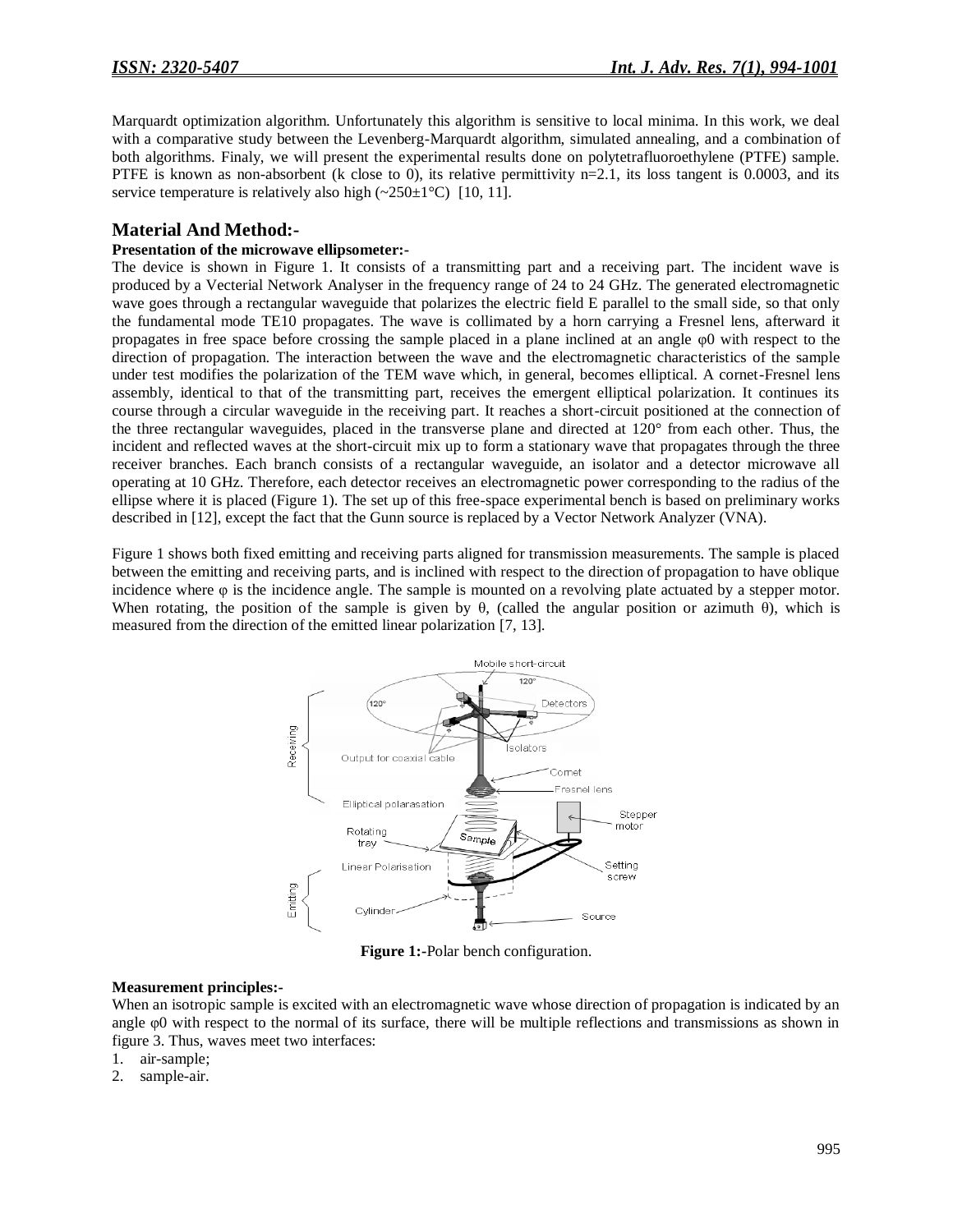Marquardt optimization algorithm. Unfortunately this algorithm is sensitive to local minima. In this work, we deal with a comparative study between the Levenberg-Marquardt algorithm, simulated annealing, and a combination of both algorithms. Finaly, we will present the experimental results done on polytetrafluoroethylene (PTFE) sample. PTFE is known as non-absorbent (k close to 0), its relative permittivity  $n=2.1$ , its loss tangent is 0.0003, and its service temperature is relatively also high  $(\sim 250 \pm 1^{\circ}C)$  [10, 11].

# **Material And Method:-**

### **Presentation of the microwave ellipsometer:-**

The device is shown in Figure 1. It consists of a transmitting part and a receiving part. The incident wave is produced by a Vecterial Network Analyser in the frequency range of 24 to 24 GHz. The generated electromagnetic wave goes through a rectangular waveguide that polarizes the electric field E parallel to the small side, so that only the fundamental mode TE10 propagates. The wave is collimated by a horn carrying a Fresnel lens, afterward it propagates in free space before crossing the sample placed in a plane inclined at an angle φ0 with respect to the direction of propagation. The interaction between the wave and the electromagnetic characteristics of the sample under test modifies the polarization of the TEM wave which, in general, becomes elliptical. A cornet-Fresnel lens assembly, identical to that of the transmitting part, receives the emergent elliptical polarization. It continues its course through a circular waveguide in the receiving part. It reaches a short-circuit positioned at the connection of the three rectangular waveguides, placed in the transverse plane and directed at 120° from each other. Thus, the incident and reflected waves at the short-circuit mix up to form a stationary wave that propagates through the three receiver branches. Each branch consists of a rectangular waveguide, an isolator and a detector microwave all operating at 10 GHz. Therefore, each detector receives an electromagnetic power corresponding to the radius of the ellipse where it is placed (Figure 1). The set up of this free-space experimental bench is based on preliminary works described in [12], except the fact that the Gunn source is replaced by a Vector Network Analyzer (VNA).

Figure 1 shows both fixed emitting and receiving parts aligned for transmission measurements. The sample is placed between the emitting and receiving parts, and is inclined with respect to the direction of propagation to have oblique incidence where φ is the incidence angle. The sample is mounted on a revolving plate actuated by a stepper motor. When rotating, the position of the sample is given by  $\theta$ , (called the angular position or azimuth  $\theta$ ), which is measured from the direction of the emitted linear polarization [7, 13].



**Figure 1:-Polar bench configuration.** 

#### **Measurement principles:-**

When an isotropic sample is excited with an electromagnetic wave whose direction of propagation is indicated by an angle φ0 with respect to the normal of its surface, there will be multiple reflections and transmissions as shown in figure 3. Thus, waves meet two interfaces:

- 1. air-sample;
- 2. sample-air.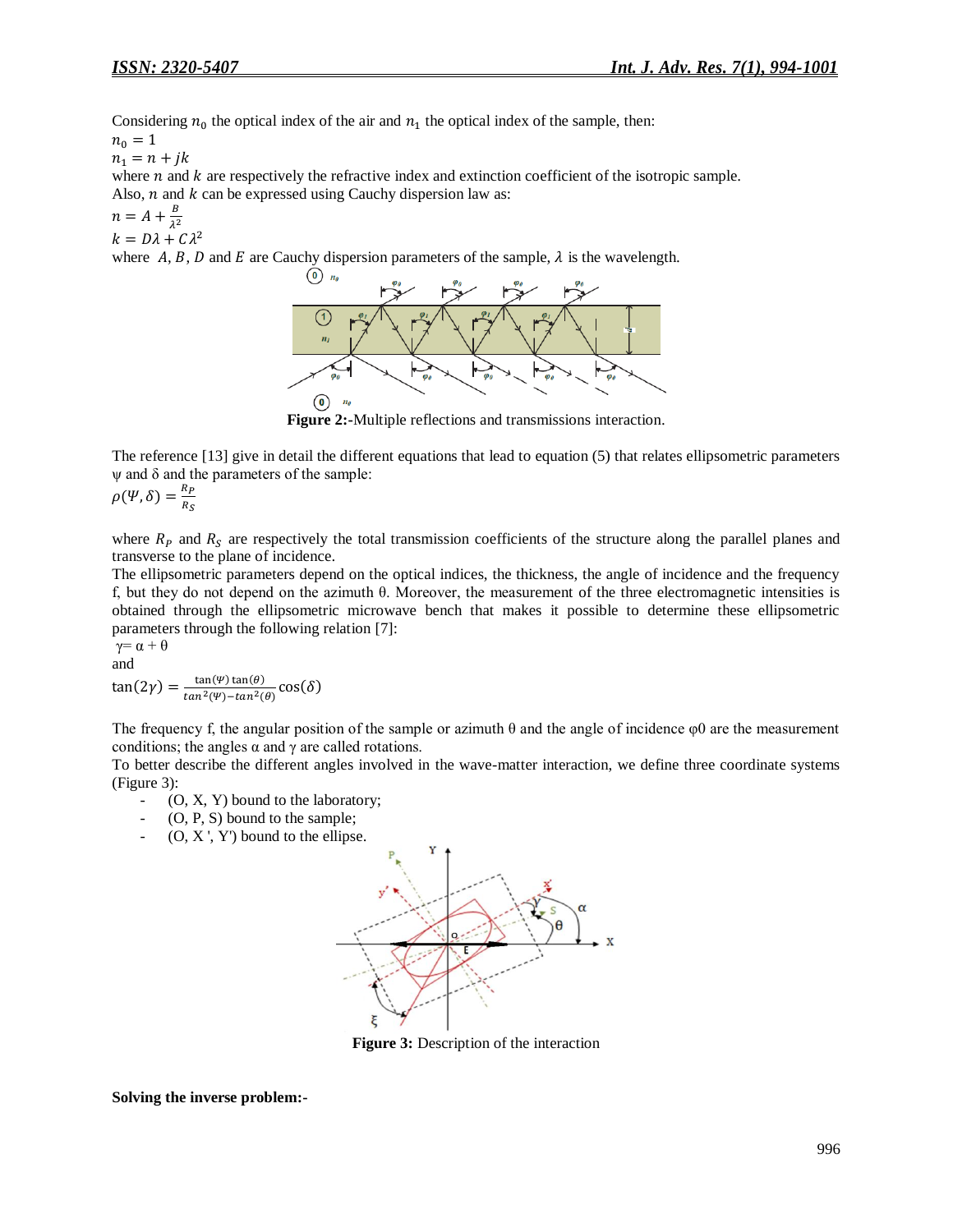Considering  $n_0$  the optical index of the air and  $n_1$  the optical index of the sample, then:

 $n_0 = 1$ 

 $n_1 = n + jk$ 

where  $n$  and  $k$  are respectively the refractive index and extinction coefficient of the isotropic sample. Also,  $n$  and  $k$  can be expressed using Cauchy dispersion law as:

$$
n = A + \frac{B}{\lambda^2}
$$

$$
k = D\lambda + C\lambda^2
$$

where  $A$ ,  $B$ ,  $D$  and  $E$  are Cauchy dispersion parameters of the sample,  $\lambda$  is the wavelength.



**Figure 2:-**Multiple reflections and transmissions interaction.

The reference [13] give in detail the different equations that lead to equation (5) that relates ellipsometric parameters  $ψ$  and δ and the parameters of the sample:

$$
\rho(\Psi,\delta)=\frac{R_P}{R_S}
$$

where  $R_p$  and  $R_s$  are respectively the total transmission coefficients of the structure along the parallel planes and transverse to the plane of incidence.

The ellipsometric parameters depend on the optical indices, the thickness, the angle of incidence and the frequency f, but they do not depend on the azimuth θ. Moreover, the measurement of the three electromagnetic intensities is obtained through the ellipsometric microwave bench that makes it possible to determine these ellipsometric parameters through the following relation [7]:  $\gamma = \alpha + \beta$ 

$$
\gamma = \alpha + \theta
$$
  
and  

$$
\tan(2\gamma) = \frac{\tan(\Psi)\tan(\theta)}{\tan^2(\Psi) - \tan^2(\theta)}\cos(\delta)
$$

The frequency f, the angular position of the sample or azimuth  $\theta$  and the angle of incidence  $\varphi$ 0 are the measurement conditions; the angles  $\alpha$  and  $\gamma$  are called rotations.

To better describe the different angles involved in the wave-matter interaction, we define three coordinate systems (Figure 3):

- $(O, X, Y)$  bound to the laboratory;
- $(O, P, S)$  bound to the sample;
- $(O, X', Y')$  bound to the ellipse.



**Figure 3:** Description of the interaction

**Solving the inverse problem:-**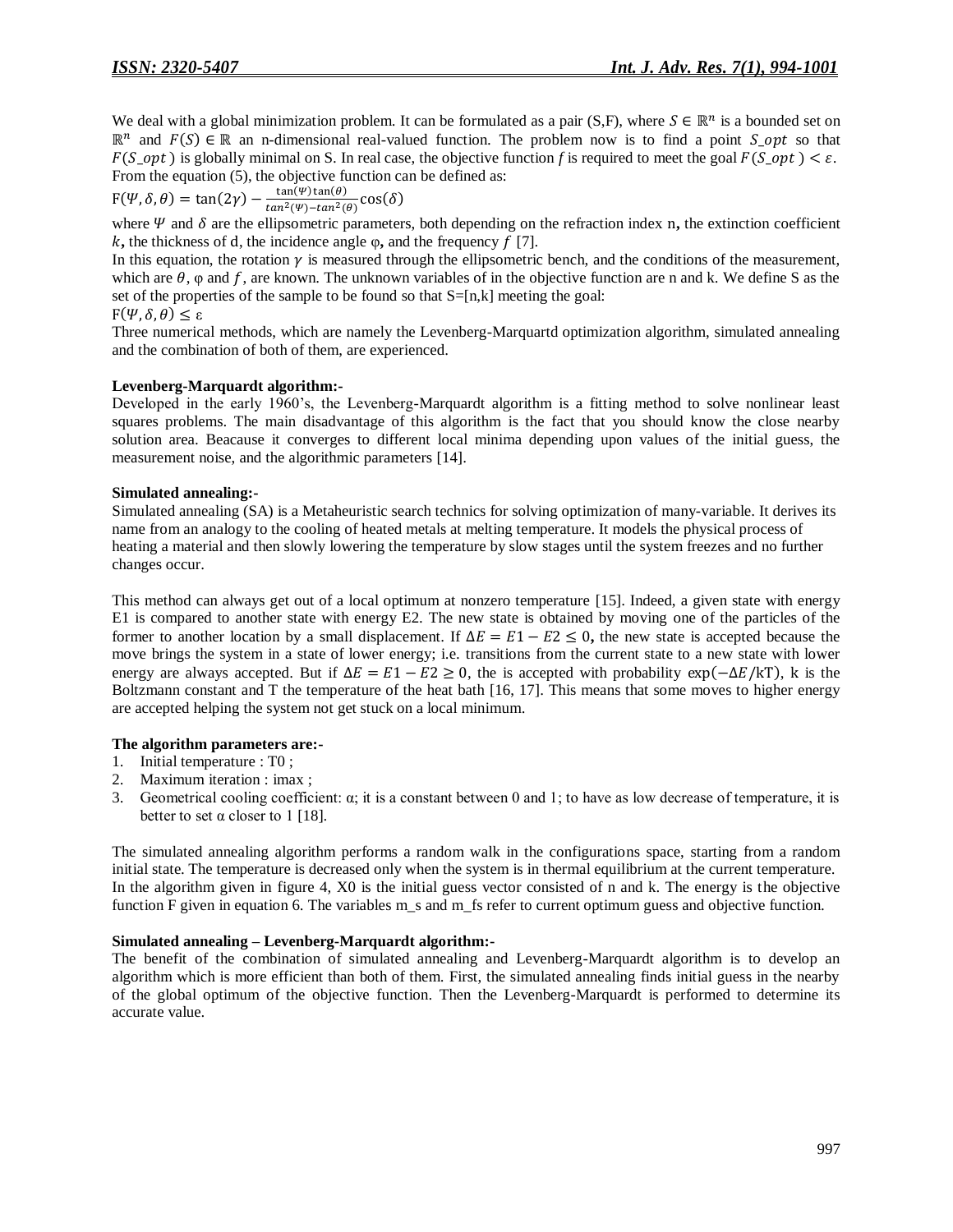We deal with a global minimization problem. It can be formulated as a pair (S,F), where  $S \in \mathbb{R}^n$  is a bounded set on  $\mathbb{R}^n$  and  $F(S) \in \mathbb{R}$  an n-dimensional real-valued function. The problem now is to find a point  $S_{opt}$  so that  $F(S \text{ opt})$  is globally minimal on S. In real case, the objective function *f* is required to meet the goal  $F(S \text{ opt}) < \varepsilon$ . From the equation (5), the objective function can be defined as:

 $F(\Psi,\delta,\theta) = \tan(2\gamma) - \frac{t}{\sqrt{2\pi}}$  $\frac{\tan(\theta)}{\tan^2(\theta)-\tan^2(\theta)} C$ 

where  $\Psi$  and  $\delta$  are the ellipsometric parameters, both depending on the refraction index **n**, the extinction coefficient  $k$ , the thickness of d, the incidence angle  $\varphi$ , and the frequency f [7].

In this equation, the rotation  $\gamma$  is measured through the ellipsometric bench, and the conditions of the measurement, which are  $\theta$ ,  $\varphi$  and f, are known. The unknown variables of in the objective function are n and k. We define S as the set of the properties of the sample to be found so that  $S=[n,k]$  meeting the goal:

$$
F(\Psi,\delta,\theta)\leq \varepsilon
$$

Three numerical methods, which are namely the Levenberg-Marquartd optimization algorithm, simulated annealing and the combination of both of them, are experienced.

# **Levenberg-Marquardt algorithm:-**

Developed in the early 1960's, the Levenberg-Marquardt algorithm is a fitting method to solve nonlinear least squares problems. The main disadvantage of this algorithm is the fact that you should know the close nearby solution area. Beacause it converges to different local minima depending upon values of the initial guess, the measurement noise, and the algorithmic parameters [14].

### **Simulated annealing:-**

Simulated annealing (SA) is a Metaheuristic search technics for solving optimization of many-variable. It derives its name from an analogy to the cooling of heated metals at melting temperature. It models the physical process of heating a material and then slowly lowering the temperature by slow stages until the system freezes and no further changes occur.

This method can always get out of a local optimum at nonzero temperature [15]. Indeed, a given state with energy E1 is compared to another state with energy E2. The new state is obtained by moving one of the particles of the former to another location by a small displacement. If  $\Delta E = E1 - E2 < 0$ , the new state is accepted because the move brings the system in a state of lower energy; i.e. transitions from the current state to a new state with lower energy are always accepted. But if  $\Delta E = E1 - E2 \ge 0$ , the is accepted with probability  $\exp(-\Delta E/kT)$ , k is the Boltzmann constant and T the temperature of the heat bath [16, 17]. This means that some moves to higher energy are accepted helping the system not get stuck on a local minimum.

# **The algorithm parameters are:-**

- 1. Initial temperature : T0 ;
- 2. Maximum iteration : imax ;
- 3. Geometrical cooling coefficient:  $\alpha$ ; it is a constant between 0 and 1; to have as low decrease of temperature, it is better to set  $\alpha$  closer to 1 [18].

The simulated annealing algorithm performs a random walk in the configurations space, starting from a random initial state. The temperature is decreased only when the system is in thermal equilibrium at the current temperature. In the algorithm given in figure 4, X0 is the initial guess vector consisted of n and k. The energy is the objective function F given in equation 6. The variables m\_s and m\_fs refer to current optimum guess and objective function.

#### **Simulated annealing – Levenberg-Marquardt algorithm:-**

The benefit of the combination of simulated annealing and Levenberg-Marquardt algorithm is to develop an algorithm which is more efficient than both of them. First, the simulated annealing finds initial guess in the nearby of the global optimum of the objective function. Then the Levenberg-Marquardt is performed to determine its accurate value.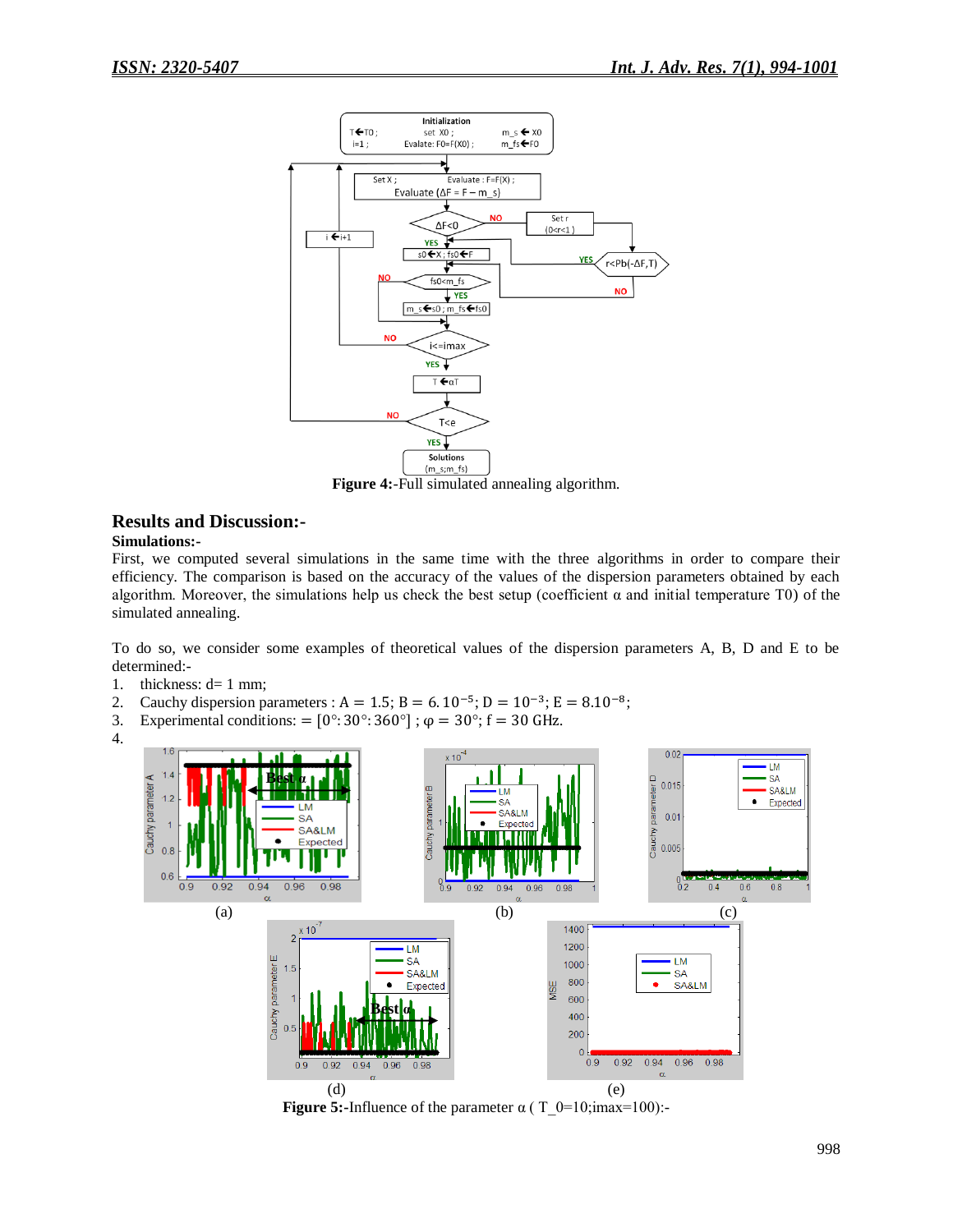

**Figure 4:**-Full simulated annealing algorithm.

# **Results and Discussion:-**

# **Simulations:-**

First, we computed several simulations in the same time with the three algorithms in order to compare their efficiency. The comparison is based on the accuracy of the values of the dispersion parameters obtained by each algorithm. Moreover, the simulations help us check the best setup (coefficient  $\alpha$  and initial temperature T0) of the simulated annealing.

To do so, we consider some examples of theoretical values of the dispersion parameters A, B, D and E to be determined:-

- 1. thickness:  $d=1$  mm;
- 2. Cauchy dispersion parameters :  $A = 1.5$ ;  $B = 6.10^{-5}$ ;  $D = 10^{-3}$ ;  $E = 8.10^{-8}$ ;
- 3. Experimental conditions: =  $[0^{\circ} : 30^{\circ} : 360^{\circ}]$ ;  $\varphi = 30^{\circ}$ ; f = 30 GHz.
- 4.



**Figure 5:-Influence of the parameter**  $\alpha$  **( T\_0=10;imax=100):-**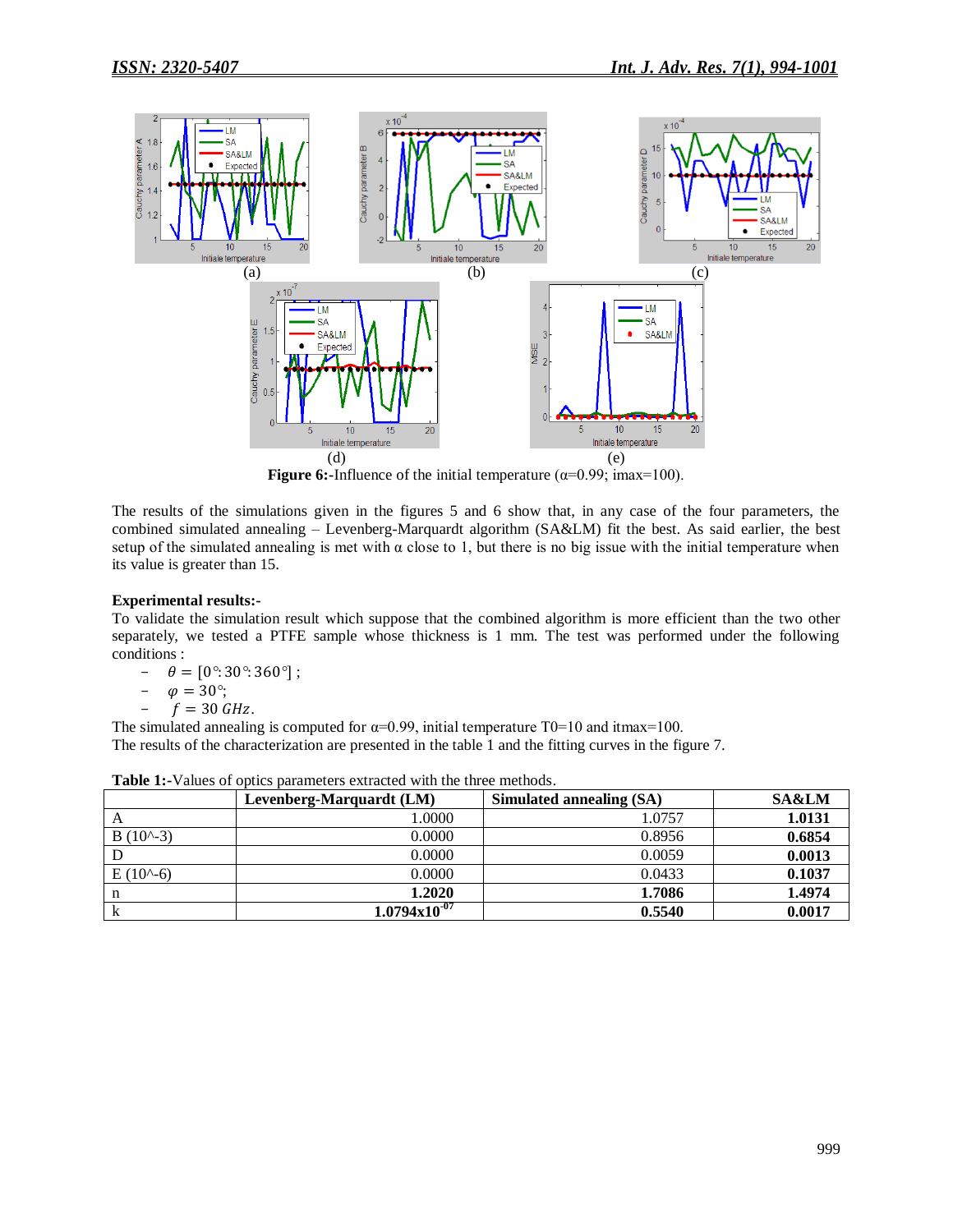

**Figure 6:-Influence** of the initial temperature ( $\alpha$ =0.99; imax=100).

The results of the simulations given in the figures 5 and 6 show that, in any case of the four parameters, the combined simulated annealing – Levenberg-Marquardt algorithm (SA&LM) fit the best. As said earlier, the best setup of the simulated annealing is met with  $\alpha$  close to 1, but there is no big issue with the initial temperature when its value is greater than 15.

# **Experimental results:-**

To validate the simulation result which suppose that the combined algorithm is more efficient than the two other separately, we tested a PTFE sample whose thickness is 1 mm. The test was performed under the following conditions :

 $-\theta = [0^{\circ}: 30^{\circ}: 360^{\circ}]$ ;

$$
-\quad \varphi=30^{\circ};
$$

 $-f = 30 GHz.$ 

The simulated annealing is computed for  $\alpha=0.99$ , initial temperature T0=10 and itmax=100.

The results of the characterization are presented in the table 1 and the fitting curves in the figure 7.

|                | Levenberg-Marquardt (LM) | Simulated annealing (SA) | <b>SA&amp;LM</b> |
|----------------|--------------------------|--------------------------|------------------|
| A              | 0000.1                   | 1.0757                   | 1.0131           |
| $B(10^{(-3)})$ | 0.0000                   | 0.8956                   | 0.6854           |
|                | 0.0000                   | 0.0059                   | 0.0013           |
| $E(10^{(-6)})$ | 0.0000                   | 0.0433                   | 0.1037           |
| n              | 1.2020                   | 1.7086                   | 1.4974           |
|                | $1.0794 \times 10^{-07}$ | 0.5540                   | 0.0017           |

**Table 1:-**Values of optics parameters extracted with the three methods.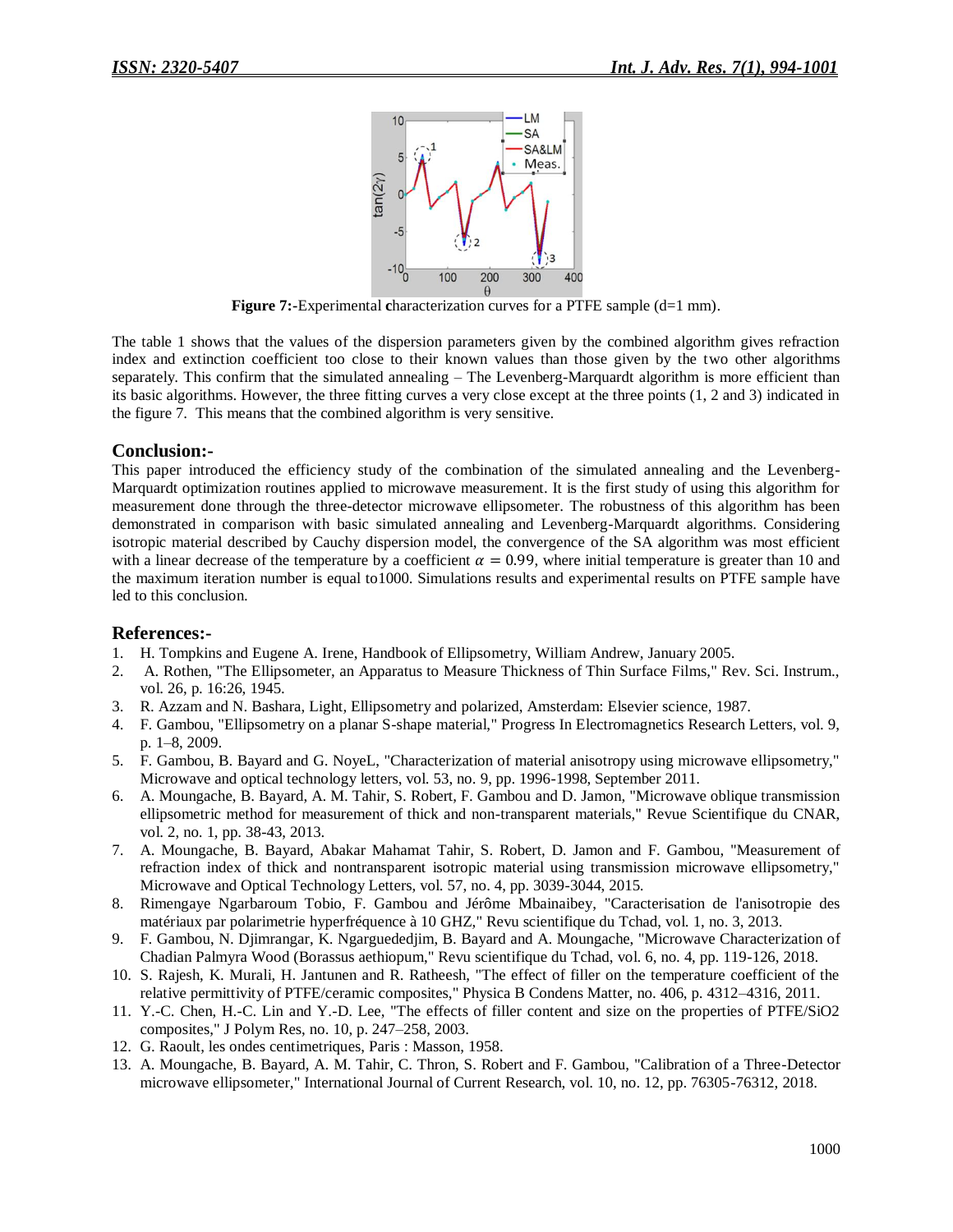

**Figure 7:-**Experimental characterization curves for a PTFE sample (d=1 mm).

The table 1 shows that the values of the dispersion parameters given by the combined algorithm gives refraction index and extinction coefficient too close to their known values than those given by the two other algorithms separately. This confirm that the simulated annealing – The Levenberg-Marquardt algorithm is more efficient than its basic algorithms. However, the three fitting curves a very close except at the three points (1, 2 and 3) indicated in the figure 7. This means that the combined algorithm is very sensitive.

# **Conclusion:-**

This paper introduced the efficiency study of the combination of the simulated annealing and the Levenberg-Marquardt optimization routines applied to microwave measurement. It is the first study of using this algorithm for measurement done through the three-detector microwave ellipsometer. The robustness of this algorithm has been demonstrated in comparison with basic simulated annealing and Levenberg-Marquardt algorithms. Considering isotropic material described by Cauchy dispersion model, the convergence of the SA algorithm was most efficient with a linear decrease of the temperature by a coefficient  $\alpha = 0.99$ , where initial temperature is greater than 10 and the maximum iteration number is equal to1000. Simulations results and experimental results on PTFE sample have led to this conclusion.

#### **References:-**

- 1. H. Tompkins and Eugene A. Irene, Handbook of Ellipsometry, William Andrew, January 2005.
- 2. A. Rothen, "The Ellipsometer, an Apparatus to Measure Thickness of Thin Surface Films," Rev. Sci. Instrum., vol. 26, p. 16:26, 1945.
- 3. R. Azzam and N. Bashara, Light, Ellipsometry and polarized, Amsterdam: Elsevier science, 1987.
- 4. F. Gambou, "Ellipsometry on a planar S-shape material," Progress In Electromagnetics Research Letters, vol. 9, p. 1–8, 2009.
- 5. F. Gambou, B. Bayard and G. NoyeL, "Characterization of material anisotropy using microwave ellipsometry," Microwave and optical technology letters, vol. 53, no. 9, pp. 1996-1998, September 2011.
- 6. A. Moungache, B. Bayard, A. M. Tahir, S. Robert, F. Gambou and D. Jamon, "Microwave oblique transmission ellipsometric method for measurement of thick and non-transparent materials," Revue Scientifique du CNAR, vol. 2, no. 1, pp. 38-43, 2013.
- 7. A. Moungache, B. Bayard, Abakar Mahamat Tahir, S. Robert, D. Jamon and F. Gambou, "Measurement of refraction index of thick and nontransparent isotropic material using transmission microwave ellipsometry," Microwave and Optical Technology Letters, vol. 57, no. 4, pp. 3039-3044, 2015.
- 8. Rimengaye Ngarbaroum Tobio, F. Gambou and Jérôme Mbainaibey, "Caracterisation de l'anisotropie des matériaux par polarimetrie hyperfréquence à 10 GHZ," Revu scientifique du Tchad, vol. 1, no. 3, 2013.
- 9. F. Gambou, N. Djimrangar, K. Ngarguededjim, B. Bayard and A. Moungache, "Microwave Characterization of Chadian Palmyra Wood (Borassus aethiopum," Revu scientifique du Tchad, vol. 6, no. 4, pp. 119-126, 2018.
- 10. S. Rajesh, K. Murali, H. Jantunen and R. Ratheesh, "The effect of filler on the temperature coefficient of the relative permittivity of PTFE/ceramic composites," Physica B Condens Matter, no. 406, p. 4312–4316, 2011.
- 11. Y.-C. Chen, H.-C. Lin and Y.-D. Lee, "The effects of filler content and size on the properties of PTFE/SiO2 composites," J Polym Res, no. 10, p. 247–258, 2003.
- 12. G. Raoult, les ondes centimetriques, Paris : Masson, 1958.
- 13. A. Moungache, B. Bayard, A. M. Tahir, C. Thron, S. Robert and F. Gambou, "Calibration of a Three-Detector microwave ellipsometer," International Journal of Current Research, vol. 10, no. 12, pp. 76305-76312, 2018.